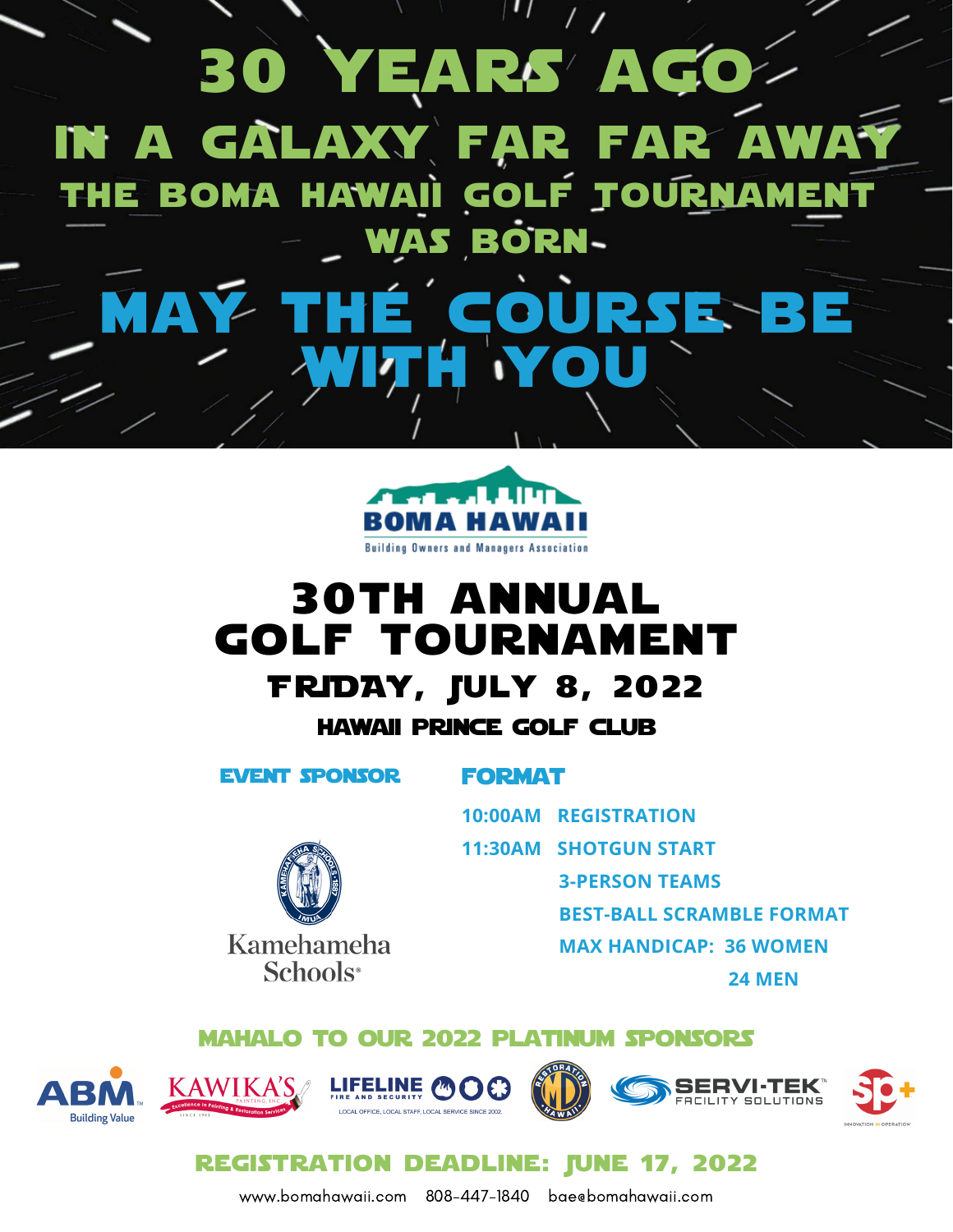



# 30th annual golf tournament FRiDAY, July 8, 2022 hawaii prince golf club

event sponsor

Kamehameha Schools<sup>®</sup>

### **FORMAT**

**10:00AM REGISTRATION**

**11:30AM SHOTGUN START**

**3-PERSON TEAMS**

**BEST-BALL SCRAMBLE FORMAT**

**MAX HANDICAP: 36 WOMEN**

**24 MEN**

mahalo to our 2022 platinum sponsors













**REGISTRATION DEADLINE: IUNE 17, 2022** 

www.bomahawaii.com 808-447-1840 bae@bomahawaii.com www.bomahawaii.com 808-447-1840 bae@bomahawaii.com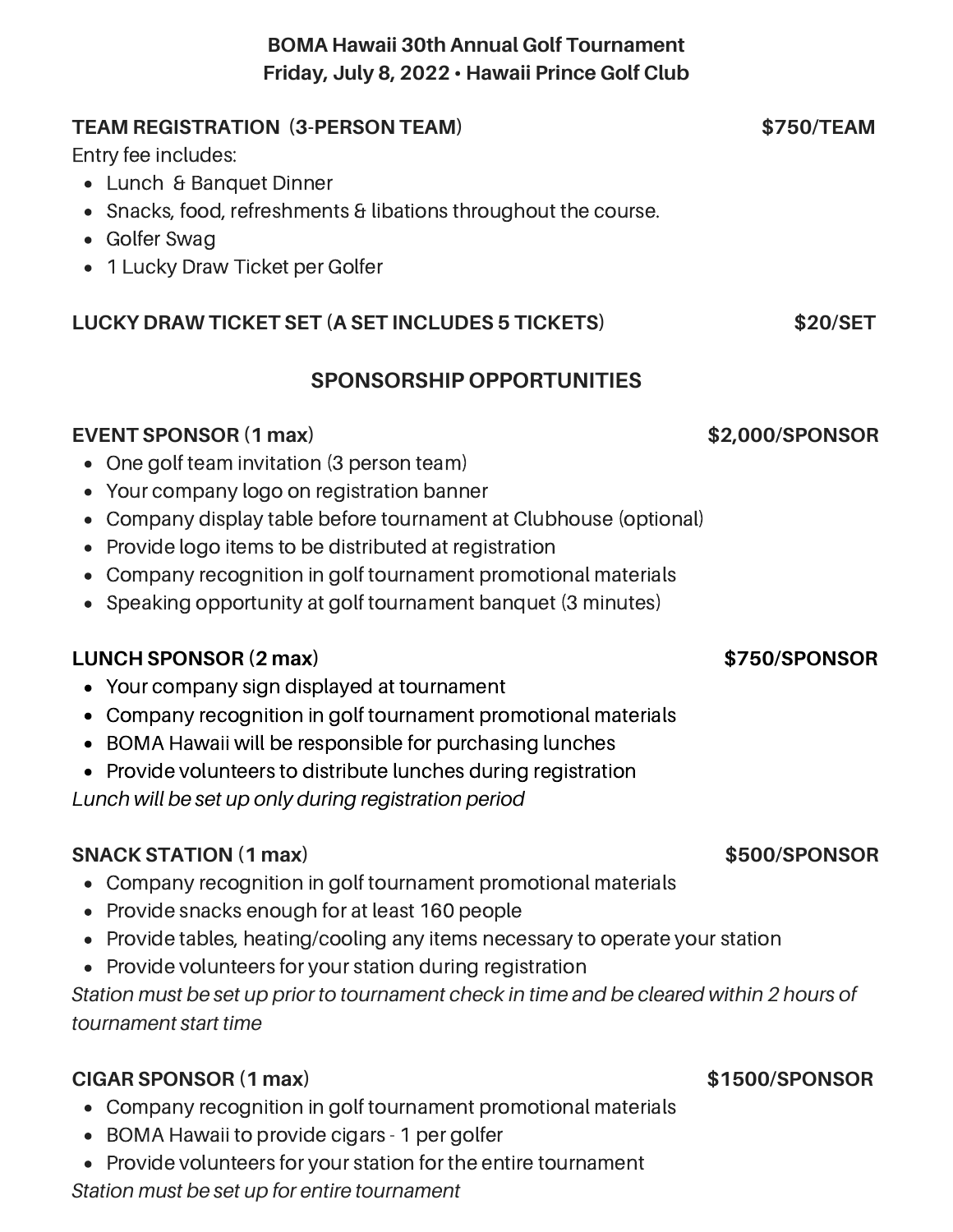### **BOMA Hawaii 30th Annual Golf Tournament Friday, July 8, 2022 • Hawaii Prince Golf Club**

### **TEAM REGISTRATION (3-PERSON TEAM) \$750/TEAM**

Entry fee includes:

- Lunch & Banquet Dinner
- Snacks, food, refreshments & libations throughout the course.
- Golfer Swag
- 1 Lucky Draw Ticket per Golfer

### **LUCKY DRAW TICKET SET (A SET INCLUDES 5 TICKETS) \$20/SET**

### **SPONSORSHIP OPPORTUNITIES**

### **EVENT SPONSOR (1 max) \$2,000/SPONSOR**

- One golf team invitation (3 person team)
- Your company logo on registration banner
- Company display table before tournament at Clubhouse (optional)
- Provide logo items to be distributed at registration
- Company recognition in golf tournament promotional materials
- Speaking opportunity at golf tournament banquet (3 minutes)

### **LUNCH SPONSOR (2 max) \$750/SPONSOR**

- Your company sign displayed at tournament
- Company recognition in golf tournament promotional materials
- BOMA Hawaii will be responsible for purchasing lunches
- Provide volunteers to distribute lunches during registration

*Lunch will be set up only during registration period*

### **SNACK STATION (1 max) \$500/SPONSOR**

- Company recognition in golf tournament promotional materials
- Provide snacks enough for at least 160 people
- Provide tables, heating/cooling any items necessary to operate your station
- Provide volunteers for your station during registration

*Station must be set up prior to tournament check in time and be cleared within 2 hours of tournament start time*

### **CIGAR SPONSOR (1 max) \$1500/SPONSOR**

- Company recognition in golf tournament promotional materials
- BOMA Hawaii to provide cigars 1 per golfer
- Provide volunteers for your station for the entire tournament

*Station must be set up for entire tournament*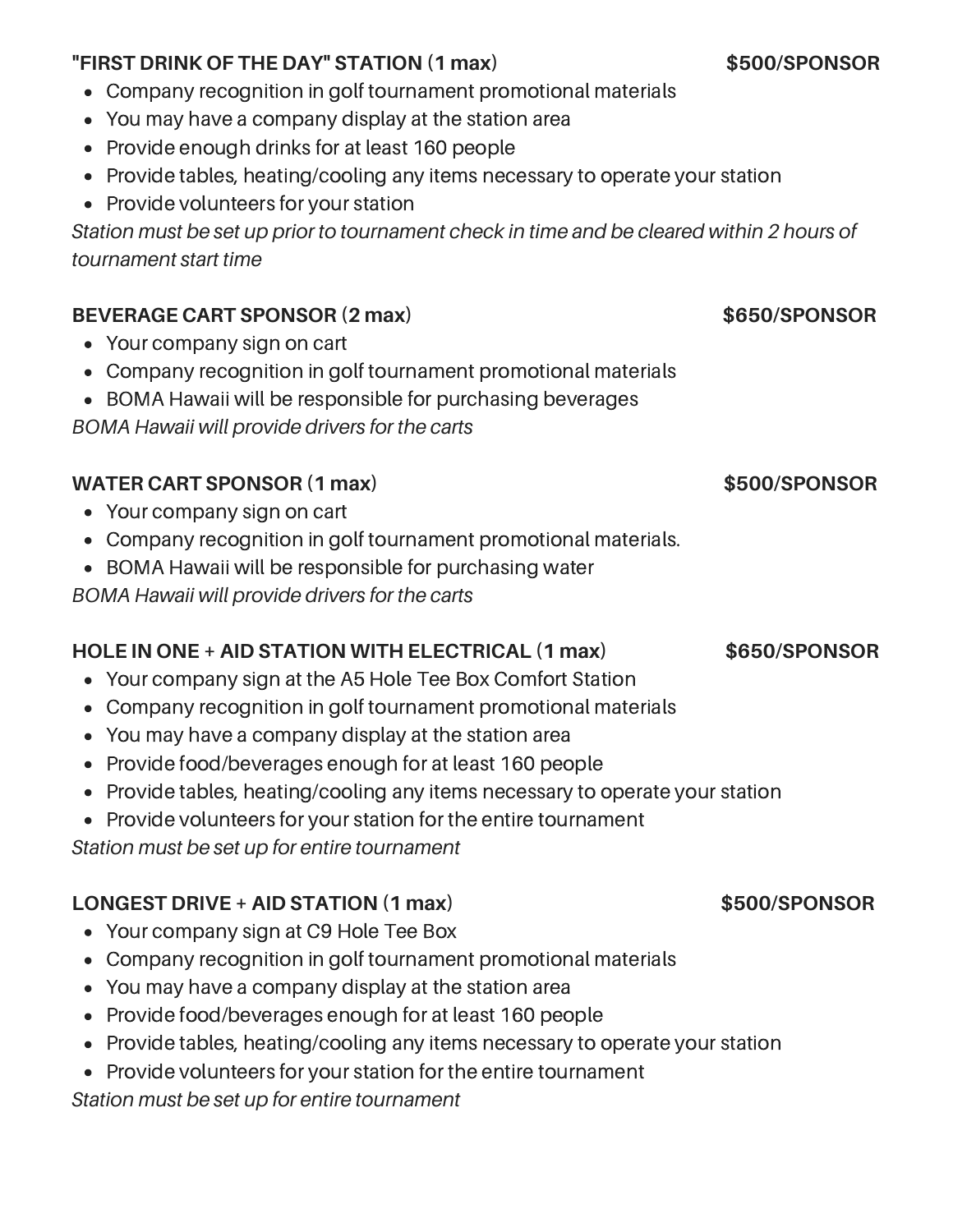# **"FIRST DRINK OF THE DAY" STATION (1 max) \$500/SPONSOR**

- Company recognition in golf tournament promotional materials
- You may have a company display at the station area
- Provide enough drinks for at least 160 people
- Provide tables, heating/cooling any items necessary to operate your station
- Provide volunteers for your station

*Station must be set up prior to tournament check in time and be cleared within 2 hours of tournament start time*

# **BEVERAGE CART SPONSOR (2 max) \$650/SPONSOR**

- Your company sign on cart
- Company recognition in golf tournament promotional materials
- BOMA Hawaii will be responsible for purchasing beverages

*BOMA Hawaii will provide drivers for the carts*

# **WATER CART SPONSOR (1 max) \$500/SPONSOR**

- Your company sign on cart
- Company recognition in golf tournament promotional materials.
- BOMA Hawaii will be responsible for purchasing water

*BOMA Hawaii will provide drivers for the carts*

### **HOLE IN ONE + AID STATION WITH ELECTRICAL (1 max) \$650/SPONSOR**

- Your company sign at the A5 Hole Tee Box Comfort Station
- Company recognition in golf tournament promotional materials
- You may have a company display at the station area
- Provide food/beverages enough for at least 160 people
- Provide tables, heating/cooling any items necessary to operate your station
- Provide volunteers for your station for the entire tournament

*Station must be set up for entire tournament*

# **LONGEST DRIVE + AID STATION (1 max) \$500/SPONSOR**

- Your company sign at C9 Hole Tee Box
- Company recognition in golf tournament promotional materials
- You may have a company display at the station area
- Provide food/beverages enough for at least 160 people
- Provide tables, heating/cooling any items necessary to operate your station
- Provide volunteers for your station for the entire tournament

### *Station must be set up for entire tournament*